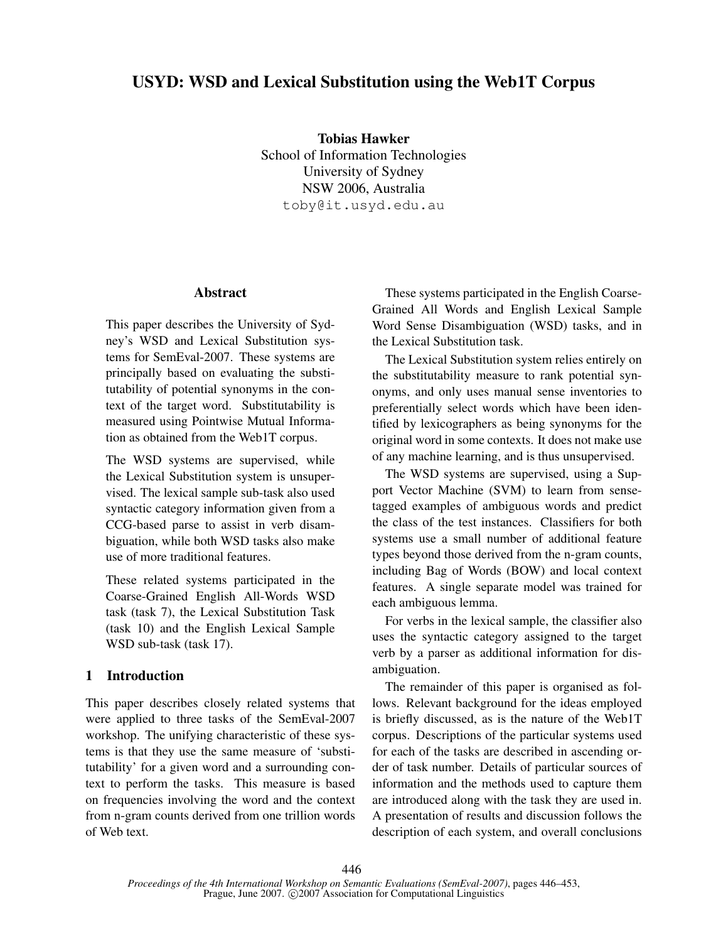# USYD: WSD and Lexical Substitution using the Web1T Corpus

Tobias Hawker School of Information Technologies University of Sydney NSW 2006, Australia toby@it.usyd.edu.au

### Abstract

This paper describes the University of Sydney's WSD and Lexical Substitution systems for SemEval-2007. These systems are principally based on evaluating the substitutability of potential synonyms in the context of the target word. Substitutability is measured using Pointwise Mutual Information as obtained from the Web1T corpus.

The WSD systems are supervised, while the Lexical Substitution system is unsupervised. The lexical sample sub-task also used syntactic category information given from a CCG-based parse to assist in verb disambiguation, while both WSD tasks also make use of more traditional features.

These related systems participated in the Coarse-Grained English All-Words WSD task (task 7), the Lexical Substitution Task (task 10) and the English Lexical Sample WSD sub-task (task 17).

## 1 Introduction

This paper describes closely related systems that were applied to three tasks of the SemEval-2007 workshop. The unifying characteristic of these systems is that they use the same measure of 'substitutability' for a given word and a surrounding context to perform the tasks. This measure is based on frequencies involving the word and the context from n-gram counts derived from one trillion words of Web text.

These systems participated in the English Coarse-Grained All Words and English Lexical Sample Word Sense Disambiguation (WSD) tasks, and in the Lexical Substitution task.

The Lexical Substitution system relies entirely on the substitutability measure to rank potential synonyms, and only uses manual sense inventories to preferentially select words which have been identified by lexicographers as being synonyms for the original word in some contexts. It does not make use of any machine learning, and is thus unsupervised.

The WSD systems are supervised, using a Support Vector Machine (SVM) to learn from sensetagged examples of ambiguous words and predict the class of the test instances. Classifiers for both systems use a small number of additional feature types beyond those derived from the n-gram counts, including Bag of Words (BOW) and local context features. A single separate model was trained for each ambiguous lemma.

For verbs in the lexical sample, the classifier also uses the syntactic category assigned to the target verb by a parser as additional information for disambiguation.

The remainder of this paper is organised as follows. Relevant background for the ideas employed is briefly discussed, as is the nature of the Web1T corpus. Descriptions of the particular systems used for each of the tasks are described in ascending order of task number. Details of particular sources of information and the methods used to capture them are introduced along with the task they are used in. A presentation of results and discussion follows the description of each system, and overall conclusions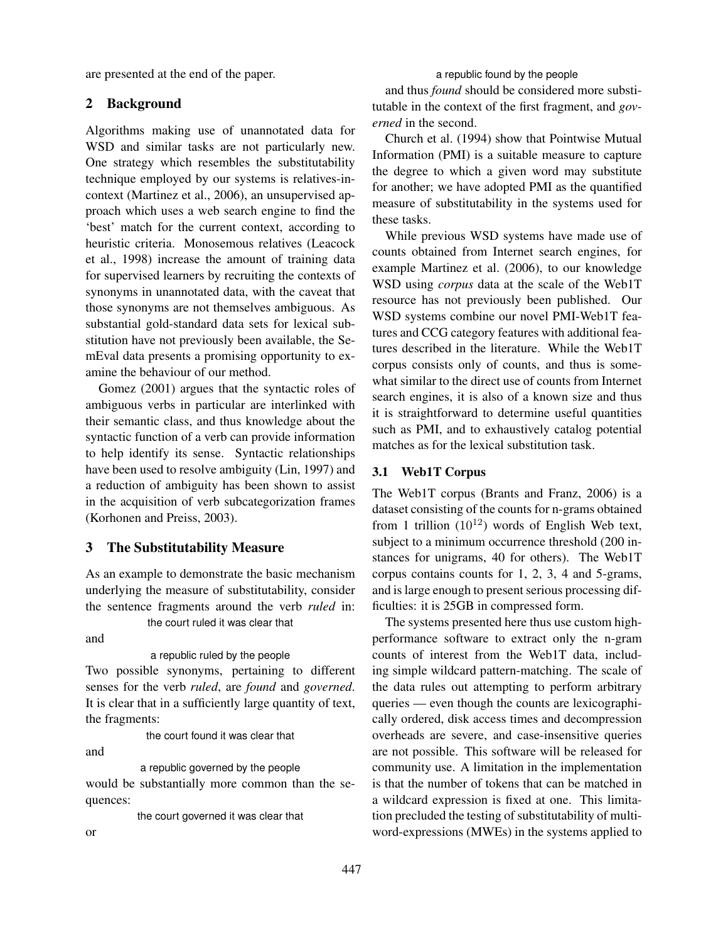are presented at the end of the paper.

# 2 Background

Algorithms making use of unannotated data for WSD and similar tasks are not particularly new. One strategy which resembles the substitutability technique employed by our systems is relatives-incontext (Martinez et al., 2006), an unsupervised approach which uses a web search engine to find the 'best' match for the current context, according to heuristic criteria. Monosemous relatives (Leacock et al., 1998) increase the amount of training data for supervised learners by recruiting the contexts of synonyms in unannotated data, with the caveat that those synonyms are not themselves ambiguous. As substantial gold-standard data sets for lexical substitution have not previously been available, the SemEval data presents a promising opportunity to examine the behaviour of our method.

Gomez (2001) argues that the syntactic roles of ambiguous verbs in particular are interlinked with their semantic class, and thus knowledge about the syntactic function of a verb can provide information to help identify its sense. Syntactic relationships have been used to resolve ambiguity (Lin, 1997) and a reduction of ambiguity has been shown to assist in the acquisition of verb subcategorization frames (Korhonen and Preiss, 2003).

## 3 The Substitutability Measure

As an example to demonstrate the basic mechanism underlying the measure of substitutability, consider the sentence fragments around the verb *ruled* in: the court ruled it was clear that

and

a republic ruled by the people

Two possible synonyms, pertaining to different senses for the verb *ruled*, are *found* and *governed*. It is clear that in a sufficiently large quantity of text, the fragments:

the court found it was clear that

and

a republic governed by the people

would be substantially more common than the sequences:

the court governed it was clear that

or

a republic found by the people

and thus *found* should be considered more substitutable in the context of the first fragment, and *governed* in the second.

Church et al. (1994) show that Pointwise Mutual Information (PMI) is a suitable measure to capture the degree to which a given word may substitute for another; we have adopted PMI as the quantified measure of substitutability in the systems used for these tasks.

While previous WSD systems have made use of counts obtained from Internet search engines, for example Martinez et al. (2006), to our knowledge WSD using *corpus* data at the scale of the Web1T resource has not previously been published. Our WSD systems combine our novel PMI-Web1T features and CCG category features with additional features described in the literature. While the Web1T corpus consists only of counts, and thus is somewhat similar to the direct use of counts from Internet search engines, it is also of a known size and thus it is straightforward to determine useful quantities such as PMI, and to exhaustively catalog potential matches as for the lexical substitution task.

### 3.1 Web1T Corpus

The Web1T corpus (Brants and Franz, 2006) is a dataset consisting of the counts for n-grams obtained from 1 trillion  $(10^{12})$  words of English Web text, subject to a minimum occurrence threshold (200 instances for unigrams, 40 for others). The Web1T corpus contains counts for 1, 2, 3, 4 and 5-grams, and is large enough to present serious processing difficulties: it is 25GB in compressed form.

The systems presented here thus use custom highperformance software to extract only the n-gram counts of interest from the Web1T data, including simple wildcard pattern-matching. The scale of the data rules out attempting to perform arbitrary queries — even though the counts are lexicographically ordered, disk access times and decompression overheads are severe, and case-insensitive queries are not possible. This software will be released for community use. A limitation in the implementation is that the number of tokens that can be matched in a wildcard expression is fixed at one. This limitation precluded the testing of substitutability of multiword-expressions (MWEs) in the systems applied to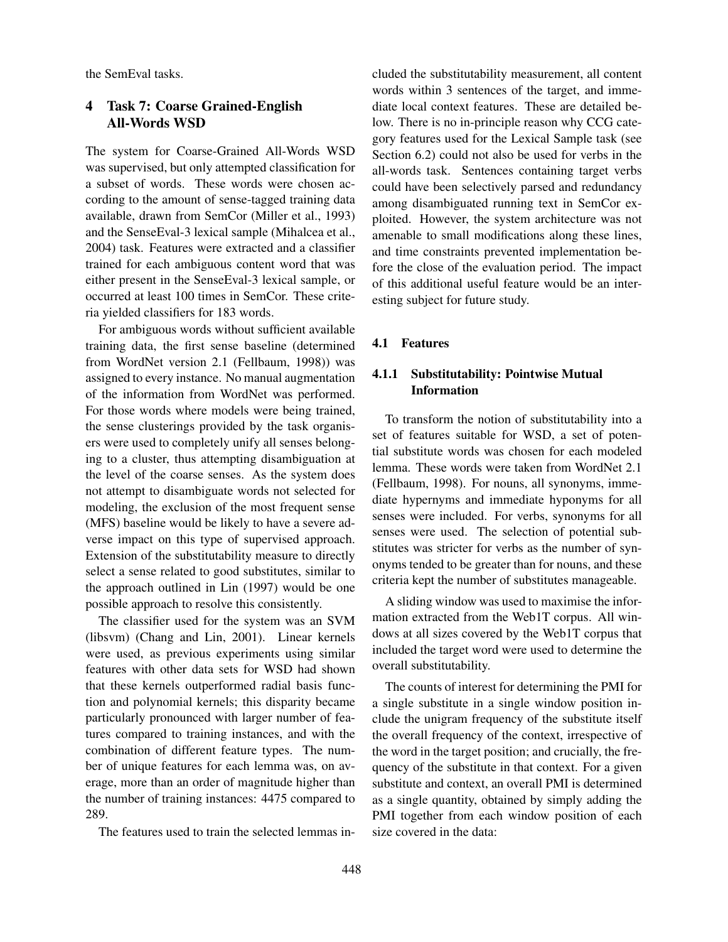the SemEval tasks.

# 4 Task 7: Coarse Grained-English All-Words WSD

The system for Coarse-Grained All-Words WSD was supervised, but only attempted classification for a subset of words. These words were chosen according to the amount of sense-tagged training data available, drawn from SemCor (Miller et al., 1993) and the SenseEval-3 lexical sample (Mihalcea et al., 2004) task. Features were extracted and a classifier trained for each ambiguous content word that was either present in the SenseEval-3 lexical sample, or occurred at least 100 times in SemCor. These criteria yielded classifiers for 183 words.

For ambiguous words without sufficient available training data, the first sense baseline (determined from WordNet version 2.1 (Fellbaum, 1998)) was assigned to every instance. No manual augmentation of the information from WordNet was performed. For those words where models were being trained, the sense clusterings provided by the task organisers were used to completely unify all senses belonging to a cluster, thus attempting disambiguation at the level of the coarse senses. As the system does not attempt to disambiguate words not selected for modeling, the exclusion of the most frequent sense (MFS) baseline would be likely to have a severe adverse impact on this type of supervised approach. Extension of the substitutability measure to directly select a sense related to good substitutes, similar to the approach outlined in Lin (1997) would be one possible approach to resolve this consistently.

The classifier used for the system was an SVM (libsvm) (Chang and Lin, 2001). Linear kernels were used, as previous experiments using similar features with other data sets for WSD had shown that these kernels outperformed radial basis function and polynomial kernels; this disparity became particularly pronounced with larger number of features compared to training instances, and with the combination of different feature types. The number of unique features for each lemma was, on average, more than an order of magnitude higher than the number of training instances: 4475 compared to 289.

The features used to train the selected lemmas in-

cluded the substitutability measurement, all content words within 3 sentences of the target, and immediate local context features. These are detailed below. There is no in-principle reason why CCG category features used for the Lexical Sample task (see Section 6.2) could not also be used for verbs in the all-words task. Sentences containing target verbs could have been selectively parsed and redundancy among disambiguated running text in SemCor exploited. However, the system architecture was not amenable to small modifications along these lines, and time constraints prevented implementation before the close of the evaluation period. The impact of this additional useful feature would be an interesting subject for future study.

### 4.1 Features

## 4.1.1 Substitutability: Pointwise Mutual **Information**

To transform the notion of substitutability into a set of features suitable for WSD, a set of potential substitute words was chosen for each modeled lemma. These words were taken from WordNet 2.1 (Fellbaum, 1998). For nouns, all synonyms, immediate hypernyms and immediate hyponyms for all senses were included. For verbs, synonyms for all senses were used. The selection of potential substitutes was stricter for verbs as the number of synonyms tended to be greater than for nouns, and these criteria kept the number of substitutes manageable.

A sliding window was used to maximise the information extracted from the Web1T corpus. All windows at all sizes covered by the Web1T corpus that included the target word were used to determine the overall substitutability.

The counts of interest for determining the PMI for a single substitute in a single window position include the unigram frequency of the substitute itself the overall frequency of the context, irrespective of the word in the target position; and crucially, the frequency of the substitute in that context. For a given substitute and context, an overall PMI is determined as a single quantity, obtained by simply adding the PMI together from each window position of each size covered in the data: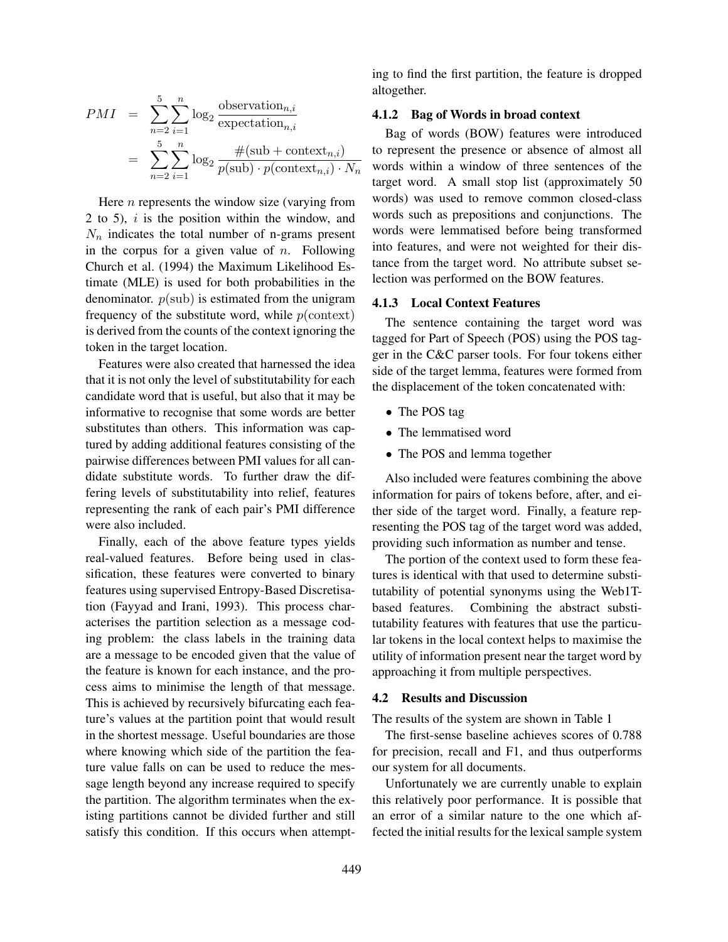$$
PMI = \sum_{n=2}^{5} \sum_{i=1}^{n} \log_2 \frac{\text{observation}_{n,i}}{\text{expectation}_{n,i}}
$$

$$
= \sum_{n=2}^{5} \sum_{i=1}^{n} \log_2 \frac{\#(\text{sub} + \text{context}_{n,i})}{p(\text{sub}) \cdot p(\text{context}_{n,i}) \cdot N_n}
$$

Here  $n$  represents the window size (varying from 2 to 5),  $i$  is the position within the window, and  $N_n$  indicates the total number of n-grams present in the corpus for a given value of  $n$ . Following Church et al. (1994) the Maximum Likelihood Estimate (MLE) is used for both probabilities in the denominator.  $p(\text{sub})$  is estimated from the unigram frequency of the substitute word, while  $p$ (context) is derived from the counts of the context ignoring the token in the target location.

Features were also created that harnessed the idea that it is not only the level of substitutability for each candidate word that is useful, but also that it may be informative to recognise that some words are better substitutes than others. This information was captured by adding additional features consisting of the pairwise differences between PMI values for all candidate substitute words. To further draw the differing levels of substitutability into relief, features representing the rank of each pair's PMI difference were also included.

Finally, each of the above feature types yields real-valued features. Before being used in classification, these features were converted to binary features using supervised Entropy-Based Discretisation (Fayyad and Irani, 1993). This process characterises the partition selection as a message coding problem: the class labels in the training data are a message to be encoded given that the value of the feature is known for each instance, and the process aims to minimise the length of that message. This is achieved by recursively bifurcating each feature's values at the partition point that would result in the shortest message. Useful boundaries are those where knowing which side of the partition the feature value falls on can be used to reduce the message length beyond any increase required to specify the partition. The algorithm terminates when the existing partitions cannot be divided further and still satisfy this condition. If this occurs when attempting to find the first partition, the feature is dropped altogether.

### 4.1.2 Bag of Words in broad context

Bag of words (BOW) features were introduced to represent the presence or absence of almost all words within a window of three sentences of the target word. A small stop list (approximately 50 words) was used to remove common closed-class words such as prepositions and conjunctions. The words were lemmatised before being transformed into features, and were not weighted for their distance from the target word. No attribute subset selection was performed on the BOW features.

#### 4.1.3 Local Context Features

The sentence containing the target word was tagged for Part of Speech (POS) using the POS tagger in the C&C parser tools. For four tokens either side of the target lemma, features were formed from the displacement of the token concatenated with:

- The POS tag
- The lemmatised word
- The POS and lemma together

Also included were features combining the above information for pairs of tokens before, after, and either side of the target word. Finally, a feature representing the POS tag of the target word was added, providing such information as number and tense.

The portion of the context used to form these features is identical with that used to determine substitutability of potential synonyms using the Web1Tbased features. Combining the abstract substitutability features with features that use the particular tokens in the local context helps to maximise the utility of information present near the target word by approaching it from multiple perspectives.

#### 4.2 Results and Discussion

The results of the system are shown in Table 1

The first-sense baseline achieves scores of 0.788 for precision, recall and F1, and thus outperforms our system for all documents.

Unfortunately we are currently unable to explain this relatively poor performance. It is possible that an error of a similar nature to the one which affected the initial results for the lexical sample system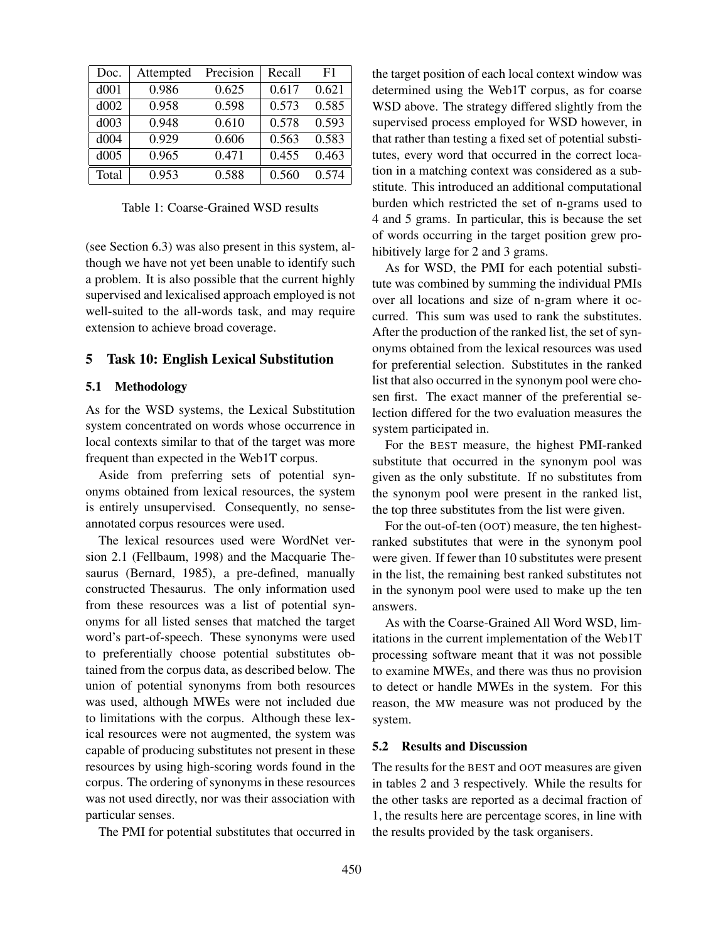| Doc.  | Attempted | Precision | Recall | F1    |
|-------|-----------|-----------|--------|-------|
| d001  | 0.986     | 0.625     | 0.617  | 0.621 |
| d002  | 0.958     | 0.598     | 0.573  | 0.585 |
| d003  | 0.948     | 0.610     | 0.578  | 0.593 |
| d004  | 0.929     | 0.606     | 0.563  | 0.583 |
| d005  | 0.965     | 0.471     | 0.455  | 0.463 |
| Total | 0.953     | 0.588     | 0.560  | 0.574 |

Table 1: Coarse-Grained WSD results

(see Section 6.3) was also present in this system, although we have not yet been unable to identify such a problem. It is also possible that the current highly supervised and lexicalised approach employed is not well-suited to the all-words task, and may require extension to achieve broad coverage.

### 5 Task 10: English Lexical Substitution

### 5.1 Methodology

As for the WSD systems, the Lexical Substitution system concentrated on words whose occurrence in local contexts similar to that of the target was more frequent than expected in the Web1T corpus.

Aside from preferring sets of potential synonyms obtained from lexical resources, the system is entirely unsupervised. Consequently, no senseannotated corpus resources were used.

The lexical resources used were WordNet version 2.1 (Fellbaum, 1998) and the Macquarie Thesaurus (Bernard, 1985), a pre-defined, manually constructed Thesaurus. The only information used from these resources was a list of potential synonyms for all listed senses that matched the target word's part-of-speech. These synonyms were used to preferentially choose potential substitutes obtained from the corpus data, as described below. The union of potential synonyms from both resources was used, although MWEs were not included due to limitations with the corpus. Although these lexical resources were not augmented, the system was capable of producing substitutes not present in these resources by using high-scoring words found in the corpus. The ordering of synonyms in these resources was not used directly, nor was their association with particular senses.

The PMI for potential substitutes that occurred in

the target position of each local context window was determined using the Web1T corpus, as for coarse WSD above. The strategy differed slightly from the supervised process employed for WSD however, in that rather than testing a fixed set of potential substitutes, every word that occurred in the correct location in a matching context was considered as a substitute. This introduced an additional computational burden which restricted the set of n-grams used to 4 and 5 grams. In particular, this is because the set of words occurring in the target position grew prohibitively large for 2 and 3 grams.

As for WSD, the PMI for each potential substitute was combined by summing the individual PMIs over all locations and size of n-gram where it occurred. This sum was used to rank the substitutes. After the production of the ranked list, the set of synonyms obtained from the lexical resources was used for preferential selection. Substitutes in the ranked list that also occurred in the synonym pool were chosen first. The exact manner of the preferential selection differed for the two evaluation measures the system participated in.

For the BEST measure, the highest PMI-ranked substitute that occurred in the synonym pool was given as the only substitute. If no substitutes from the synonym pool were present in the ranked list, the top three substitutes from the list were given.

For the out-of-ten (OOT) measure, the ten highestranked substitutes that were in the synonym pool were given. If fewer than 10 substitutes were present in the list, the remaining best ranked substitutes not in the synonym pool were used to make up the ten answers.

As with the Coarse-Grained All Word WSD, limitations in the current implementation of the Web1T processing software meant that it was not possible to examine MWEs, and there was thus no provision to detect or handle MWEs in the system. For this reason, the MW measure was not produced by the system.

### 5.2 Results and Discussion

The results for the BEST and OOT measures are given in tables 2 and 3 respectively. While the results for the other tasks are reported as a decimal fraction of 1, the results here are percentage scores, in line with the results provided by the task organisers.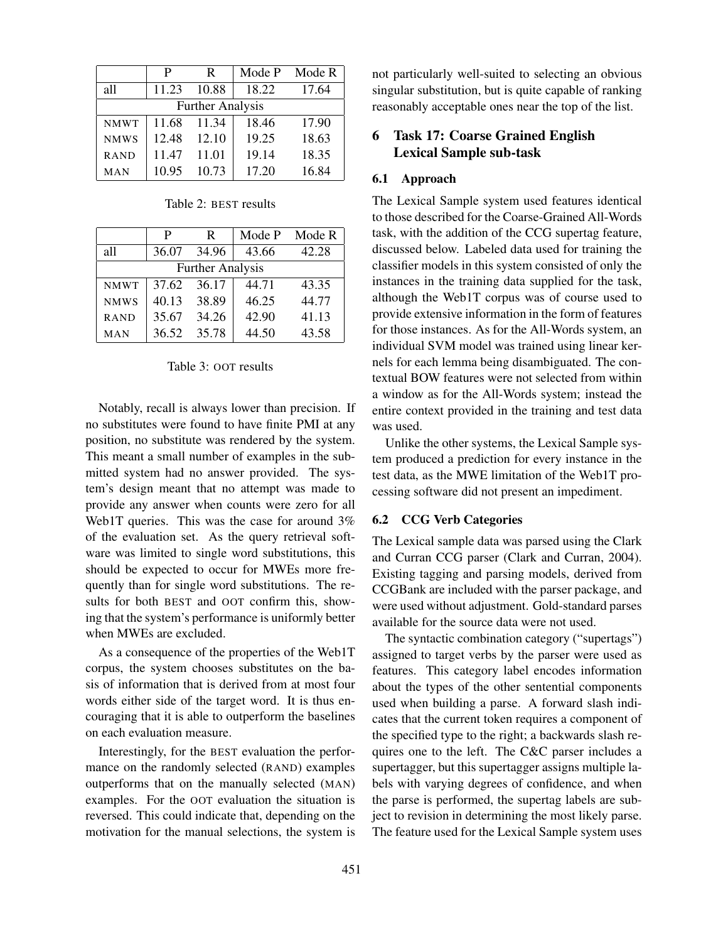|                         | P     | R     | Mode P | Mode R |  |  |
|-------------------------|-------|-------|--------|--------|--|--|
| all                     | 11.23 | 10.88 | 18.22  | 17.64  |  |  |
| <b>Further Analysis</b> |       |       |        |        |  |  |
| <b>NMWT</b>             | 11.68 | 11.34 | 18.46  | 17.90  |  |  |
| <b>NMWS</b>             | 12.48 | 12.10 | 19.25  | 18.63  |  |  |
| <b>RAND</b>             | 11.47 | 11.01 | 19.14  | 18.35  |  |  |
| MAN                     | 10.95 | 10.73 | 17.20  | 16.84  |  |  |

Table 2: BEST results

|                         | P     | R     | Mode P | Mode R |  |  |
|-------------------------|-------|-------|--------|--------|--|--|
| all                     | 36.07 | 34.96 | 43.66  | 42.28  |  |  |
| <b>Further Analysis</b> |       |       |        |        |  |  |
| <b>NMWT</b>             | 37.62 | 36.17 | 44.71  | 43.35  |  |  |
| <b>NMWS</b>             | 40.13 | 38.89 | 46.25  | 44.77  |  |  |
| <b>RAND</b>             | 35.67 | 34.26 | 42.90  | 41.13  |  |  |
| MAN                     | 36.52 | 35.78 | 44.50  | 43.58  |  |  |

### Table 3: OOT results

Notably, recall is always lower than precision. If no substitutes were found to have finite PMI at any position, no substitute was rendered by the system. This meant a small number of examples in the submitted system had no answer provided. The system's design meant that no attempt was made to provide any answer when counts were zero for all Web1T queries. This was the case for around 3% of the evaluation set. As the query retrieval software was limited to single word substitutions, this should be expected to occur for MWEs more frequently than for single word substitutions. The results for both BEST and OOT confirm this, showing that the system's performance is uniformly better when MWEs are excluded.

As a consequence of the properties of the Web1T corpus, the system chooses substitutes on the basis of information that is derived from at most four words either side of the target word. It is thus encouraging that it is able to outperform the baselines on each evaluation measure.

Interestingly, for the BEST evaluation the performance on the randomly selected (RAND) examples outperforms that on the manually selected (MAN) examples. For the OOT evaluation the situation is reversed. This could indicate that, depending on the motivation for the manual selections, the system is

not particularly well-suited to selecting an obvious singular substitution, but is quite capable of ranking reasonably acceptable ones near the top of the list.

# 6 Task 17: Coarse Grained English Lexical Sample sub-task

#### 6.1 Approach

The Lexical Sample system used features identical to those described for the Coarse-Grained All-Words task, with the addition of the CCG supertag feature, discussed below. Labeled data used for training the classifier models in this system consisted of only the instances in the training data supplied for the task, although the Web1T corpus was of course used to provide extensive information in the form of features for those instances. As for the All-Words system, an individual SVM model was trained using linear kernels for each lemma being disambiguated. The contextual BOW features were not selected from within a window as for the All-Words system; instead the entire context provided in the training and test data was used.

Unlike the other systems, the Lexical Sample system produced a prediction for every instance in the test data, as the MWE limitation of the Web1T processing software did not present an impediment.

### 6.2 CCG Verb Categories

The Lexical sample data was parsed using the Clark and Curran CCG parser (Clark and Curran, 2004). Existing tagging and parsing models, derived from CCGBank are included with the parser package, and were used without adjustment. Gold-standard parses available for the source data were not used.

The syntactic combination category ("supertags") assigned to target verbs by the parser were used as features. This category label encodes information about the types of the other sentential components used when building a parse. A forward slash indicates that the current token requires a component of the specified type to the right; a backwards slash requires one to the left. The C&C parser includes a supertagger, but this supertagger assigns multiple labels with varying degrees of confidence, and when the parse is performed, the supertag labels are subject to revision in determining the most likely parse. The feature used for the Lexical Sample system uses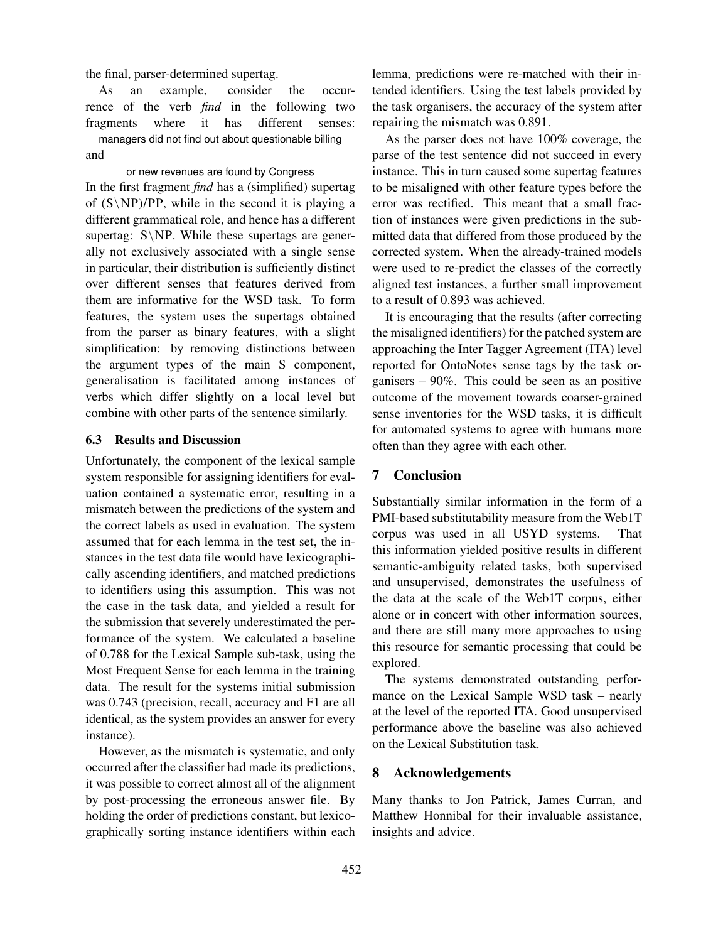the final, parser-determined supertag.

As an example, consider the occurrence of the verb *find* in the following two fragments where it has different senses: managers did not find out about questionable billing

and

or new revenues are found by Congress In the first fragment *find* has a (simplified) supertag of  $(S\NP)/PP$ , while in the second it is playing a different grammatical role, and hence has a different supertag:  $S\NP$ . While these supertags are generally not exclusively associated with a single sense in particular, their distribution is sufficiently distinct over different senses that features derived from them are informative for the WSD task. To form features, the system uses the supertags obtained from the parser as binary features, with a slight simplification: by removing distinctions between the argument types of the main S component, generalisation is facilitated among instances of verbs which differ slightly on a local level but combine with other parts of the sentence similarly.

### 6.3 Results and Discussion

Unfortunately, the component of the lexical sample system responsible for assigning identifiers for evaluation contained a systematic error, resulting in a mismatch between the predictions of the system and the correct labels as used in evaluation. The system assumed that for each lemma in the test set, the instances in the test data file would have lexicographically ascending identifiers, and matched predictions to identifiers using this assumption. This was not the case in the task data, and yielded a result for the submission that severely underestimated the performance of the system. We calculated a baseline of 0.788 for the Lexical Sample sub-task, using the Most Frequent Sense for each lemma in the training data. The result for the systems initial submission was 0.743 (precision, recall, accuracy and F1 are all identical, as the system provides an answer for every instance).

However, as the mismatch is systematic, and only occurred after the classifier had made its predictions, it was possible to correct almost all of the alignment by post-processing the erroneous answer file. By holding the order of predictions constant, but lexicographically sorting instance identifiers within each lemma, predictions were re-matched with their intended identifiers. Using the test labels provided by the task organisers, the accuracy of the system after repairing the mismatch was 0.891.

As the parser does not have 100% coverage, the parse of the test sentence did not succeed in every instance. This in turn caused some supertag features to be misaligned with other feature types before the error was rectified. This meant that a small fraction of instances were given predictions in the submitted data that differed from those produced by the corrected system. When the already-trained models were used to re-predict the classes of the correctly aligned test instances, a further small improvement to a result of 0.893 was achieved.

It is encouraging that the results (after correcting the misaligned identifiers) for the patched system are approaching the Inter Tagger Agreement (ITA) level reported for OntoNotes sense tags by the task organisers – 90%. This could be seen as an positive outcome of the movement towards coarser-grained sense inventories for the WSD tasks, it is difficult for automated systems to agree with humans more often than they agree with each other.

### 7 Conclusion

Substantially similar information in the form of a PMI-based substitutability measure from the Web1T corpus was used in all USYD systems. That this information yielded positive results in different semantic-ambiguity related tasks, both supervised and unsupervised, demonstrates the usefulness of the data at the scale of the Web1T corpus, either alone or in concert with other information sources, and there are still many more approaches to using this resource for semantic processing that could be explored.

The systems demonstrated outstanding performance on the Lexical Sample WSD task – nearly at the level of the reported ITA. Good unsupervised performance above the baseline was also achieved on the Lexical Substitution task.

## 8 Acknowledgements

Many thanks to Jon Patrick, James Curran, and Matthew Honnibal for their invaluable assistance, insights and advice.